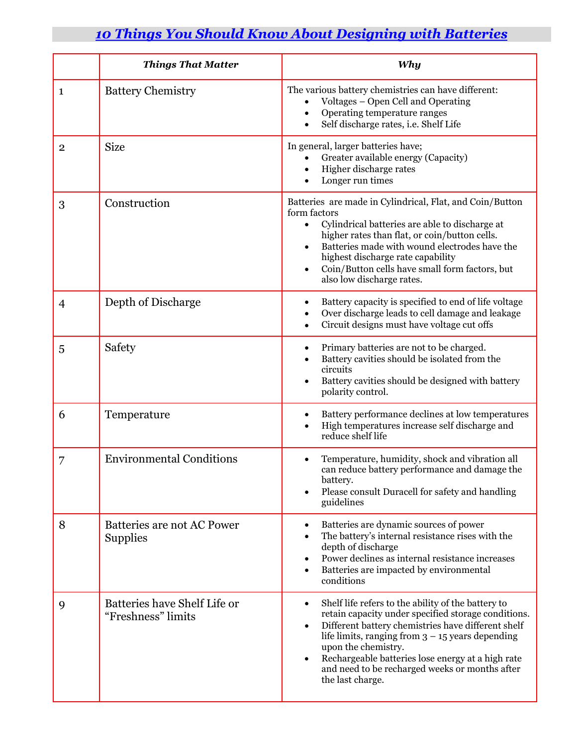## *10 Things You Should Know About Designing with Batteries*

|                | <b>Things That Matter</b>                          | Why                                                                                                                                                                                                                                                                                                                                                                                               |
|----------------|----------------------------------------------------|---------------------------------------------------------------------------------------------------------------------------------------------------------------------------------------------------------------------------------------------------------------------------------------------------------------------------------------------------------------------------------------------------|
| 1              | <b>Battery Chemistry</b>                           | The various battery chemistries can have different:<br>Voltages - Open Cell and Operating<br>Operating temperature ranges<br>$\bullet$<br>Self discharge rates, i.e. Shelf Life<br>$\bullet$                                                                                                                                                                                                      |
| $\overline{2}$ | <b>Size</b>                                        | In general, larger batteries have;<br>Greater available energy (Capacity)<br>Higher discharge rates<br>$\bullet$<br>Longer run times                                                                                                                                                                                                                                                              |
| 3              | Construction                                       | Batteries are made in Cylindrical, Flat, and Coin/Button<br>form factors<br>Cylindrical batteries are able to discharge at<br>higher rates than flat, or coin/button cells.<br>Batteries made with wound electrodes have the<br>٠<br>highest discharge rate capability<br>Coin/Button cells have small form factors, but<br>also low discharge rates.                                             |
| 4              | Depth of Discharge                                 | Battery capacity is specified to end of life voltage<br>٠<br>Over discharge leads to cell damage and leakage<br>$\bullet$<br>Circuit designs must have voltage cut offs<br>$\bullet$                                                                                                                                                                                                              |
| 5              | Safety                                             | Primary batteries are not to be charged.<br>٠<br>Battery cavities should be isolated from the<br>circuits<br>Battery cavities should be designed with battery<br>polarity control.                                                                                                                                                                                                                |
| 6              | Temperature                                        | Battery performance declines at low temperatures<br>High temperatures increase self discharge and<br>reduce shelf life                                                                                                                                                                                                                                                                            |
| 7              | <b>Environmental Conditions</b>                    | Temperature, humidity, shock and vibration all<br>can reduce battery performance and damage the<br>battery.<br>Please consult Duracell for safety and handling<br>guidelines                                                                                                                                                                                                                      |
| 8              | Batteries are not AC Power<br><b>Supplies</b>      | Batteries are dynamic sources of power<br>٠<br>The battery's internal resistance rises with the<br>$\bullet$<br>depth of discharge<br>Power declines as internal resistance increases<br>٠<br>Batteries are impacted by environmental<br>$\bullet$<br>conditions                                                                                                                                  |
| 9              | Batteries have Shelf Life or<br>"Freshness" limits | Shelf life refers to the ability of the battery to<br>$\bullet$<br>retain capacity under specified storage conditions.<br>Different battery chemistries have different shelf<br>$\bullet$<br>life limits, ranging from $3 - 15$ years depending<br>upon the chemistry.<br>Rechargeable batteries lose energy at a high rate<br>and need to be recharged weeks or months after<br>the last charge. |